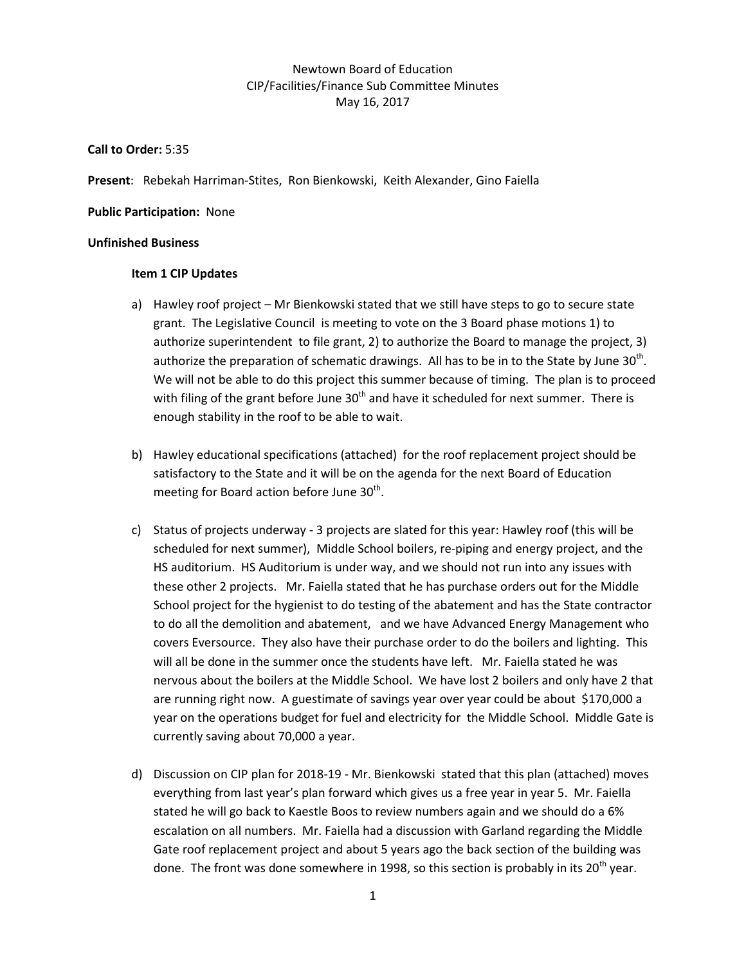# Newtown Board of Education CIP/Facilities/Finance Sub Committee Minutes May 16, 2017

**Call to Order:** 5:35

**Present**: Rebekah Harriman-Stites, Ron Bienkowski, Keith Alexander, Gino Faiella

**Public Participation:** None

## **Unfinished Business**

## **Item 1 CIP Updates**

- a) Hawley roof project Mr Bienkowski stated that we still have steps to go to secure state grant. The Legislative Council is meeting to vote on the 3 Board phase motions 1) to authorize superintendent to file grant, 2) to authorize the Board to manage the project, 3) authorize the preparation of schematic drawings. All has to be in to the State by June 30<sup>th</sup>. We will not be able to do this project this summer because of timing. The plan is to proceed with filing of the grant before June  $30<sup>th</sup>$  and have it scheduled for next summer. There is enough stability in the roof to be able to wait.
- b) Hawley educational specifications (attached) for the roof replacement project should be satisfactory to the State and it will be on the agenda for the next Board of Education meeting for Board action before June  $30<sup>th</sup>$ .
- c) Status of projects underway 3 projects are slated for this year: Hawley roof (this will be scheduled for next summer), Middle School boilers, re-piping and energy project, and the HS auditorium. HS Auditorium is under way, and we should not run into any issues with these other 2 projects. Mr. Faiella stated that he has purchase orders out for the Middle School project for the hygienist to do testing of the abatement and has the State contractor to do all the demolition and abatement, and we have Advanced Energy Management who covers Eversource. They also have their purchase order to do the boilers and lighting. This will all be done in the summer once the students have left. Mr. Faiella stated he was nervous about the boilers at the Middle School. We have lost 2 boilers and only have 2 that are running right now. A guestimate of savings year over year could be about \$170,000 a year on the operations budget for fuel and electricity for the Middle School. Middle Gate is currently saving about 70,000 a year.
- d) Discussion on CIP plan for 2018-19 Mr. Bienkowski stated that this plan (attached) moves everything from last year's plan forward which gives us a free year in year 5. Mr. Faiella stated he will go back to Kaestle Boos to review numbers again and we should do a 6% escalation on all numbers. Mr. Faiella had a discussion with Garland regarding the Middle Gate roof replacement project and about 5 years ago the back section of the building was done. The front was done somewhere in 1998, so this section is probably in its  $20^{th}$  vear.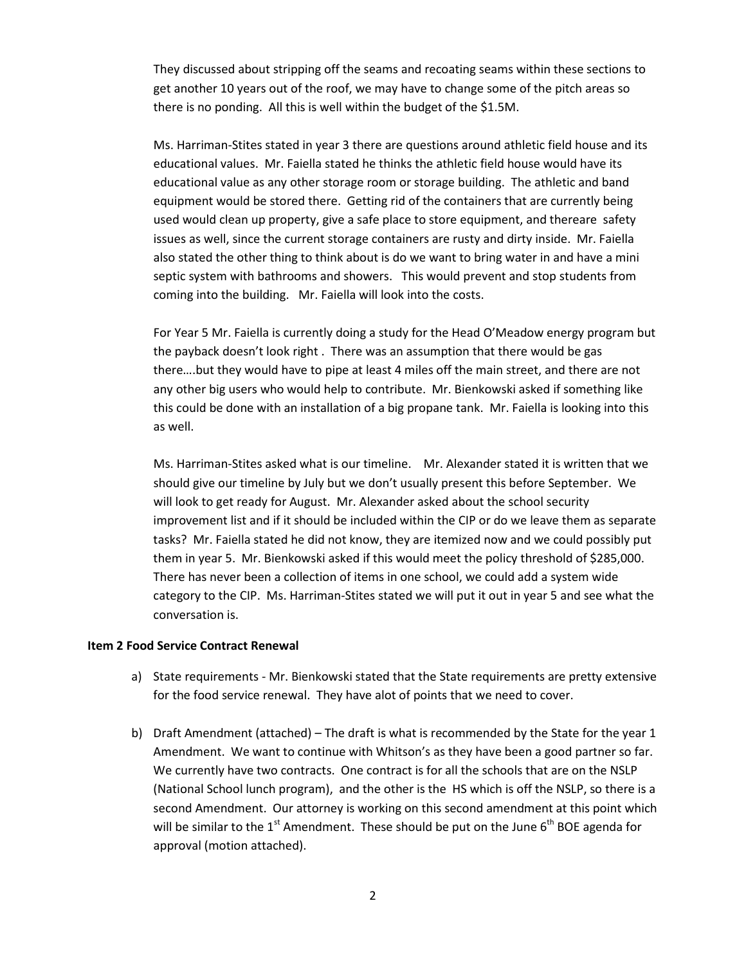They discussed about stripping off the seams and recoating seams within these sections to get another 10 years out of the roof, we may have to change some of the pitch areas so there is no ponding. All this is well within the budget of the \$1.5M.

Ms. Harriman-Stites stated in year 3 there are questions around athletic field house and its educational values. Mr. Faiella stated he thinks the athletic field house would have its educational value as any other storage room or storage building. The athletic and band equipment would be stored there. Getting rid of the containers that are currently being used would clean up property, give a safe place to store equipment, and thereare safety issues as well, since the current storage containers are rusty and dirty inside. Mr. Faiella also stated the other thing to think about is do we want to bring water in and have a mini septic system with bathrooms and showers. This would prevent and stop students from coming into the building. Mr. Faiella will look into the costs.

For Year 5 Mr. Faiella is currently doing a study for the Head O'Meadow energy program but the payback doesn't look right . There was an assumption that there would be gas there….but they would have to pipe at least 4 miles off the main street, and there are not any other big users who would help to contribute. Mr. Bienkowski asked if something like this could be done with an installation of a big propane tank. Mr. Faiella is looking into this as well.

Ms. Harriman-Stites asked what is our timeline. Mr. Alexander stated it is written that we should give our timeline by July but we don't usually present this before September. We will look to get ready for August. Mr. Alexander asked about the school security improvement list and if it should be included within the CIP or do we leave them as separate tasks? Mr. Faiella stated he did not know, they are itemized now and we could possibly put them in year 5. Mr. Bienkowski asked if this would meet the policy threshold of \$285,000. There has never been a collection of items in one school, we could add a system wide category to the CIP. Ms. Harriman-Stites stated we will put it out in year 5 and see what the conversation is.

## **Item 2 Food Service Contract Renewal**

- a) State requirements Mr. Bienkowski stated that the State requirements are pretty extensive for the food service renewal. They have alot of points that we need to cover.
- b) Draft Amendment (attached) The draft is what is recommended by the State for the year 1 Amendment. We want to continue with Whitson's as they have been a good partner so far. We currently have two contracts. One contract is for all the schools that are on the NSLP (National School lunch program), and the other is the HS which is off the NSLP, so there is a second Amendment. Our attorney is working on this second amendment at this point which will be similar to the  $1<sup>st</sup>$  Amendment. These should be put on the June  $6<sup>th</sup>$  BOE agenda for approval (motion attached).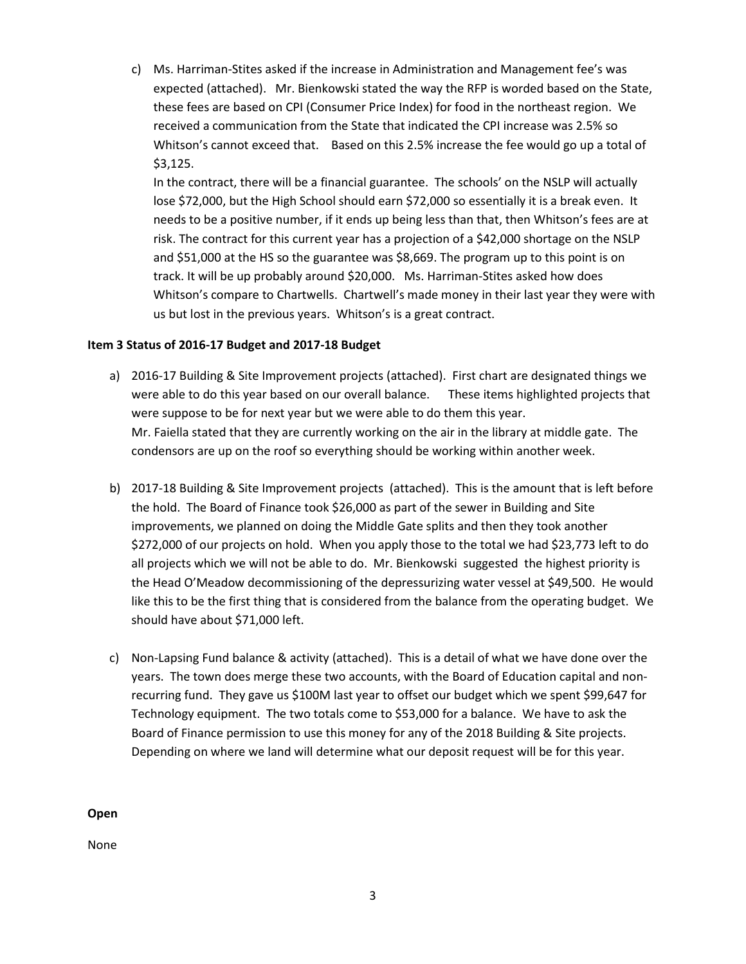c) Ms. Harriman-Stites asked if the increase in Administration and Management fee's was expected (attached). Mr. Bienkowski stated the way the RFP is worded based on the State, these fees are based on CPI (Consumer Price Index) for food in the northeast region. We received a communication from the State that indicated the CPI increase was 2.5% so Whitson's cannot exceed that. Based on this 2.5% increase the fee would go up a total of \$3,125.

In the contract, there will be a financial guarantee. The schools' on the NSLP will actually lose \$72,000, but the High School should earn \$72,000 so essentially it is a break even. It needs to be a positive number, if it ends up being less than that, then Whitson's fees are at risk. The contract for this current year has a projection of a \$42,000 shortage on the NSLP and \$51,000 at the HS so the guarantee was \$8,669. The program up to this point is on track. It will be up probably around \$20,000. Ms. Harriman-Stites asked how does Whitson's compare to Chartwells. Chartwell's made money in their last year they were with us but lost in the previous years. Whitson's is a great contract.

## **Item 3 Status of 2016-17 Budget and 2017-18 Budget**

- a) 2016-17 Building & Site Improvement projects (attached). First chart are designated things we were able to do this year based on our overall balance. These items highlighted projects that were suppose to be for next year but we were able to do them this year. Mr. Faiella stated that they are currently working on the air in the library at middle gate. The condensors are up on the roof so everything should be working within another week.
- b) 2017-18 Building & Site Improvement projects (attached). This is the amount that is left before the hold. The Board of Finance took \$26,000 as part of the sewer in Building and Site improvements, we planned on doing the Middle Gate splits and then they took another \$272,000 of our projects on hold. When you apply those to the total we had \$23,773 left to do all projects which we will not be able to do. Mr. Bienkowski suggested the highest priority is the Head O'Meadow decommissioning of the depressurizing water vessel at \$49,500. He would like this to be the first thing that is considered from the balance from the operating budget. We should have about \$71,000 left.
- c) Non-Lapsing Fund balance & activity (attached). This is a detail of what we have done over the years. The town does merge these two accounts, with the Board of Education capital and nonrecurring fund. They gave us \$100M last year to offset our budget which we spent \$99,647 for Technology equipment. The two totals come to \$53,000 for a balance. We have to ask the Board of Finance permission to use this money for any of the 2018 Building & Site projects. Depending on where we land will determine what our deposit request will be for this year.

**Open**

None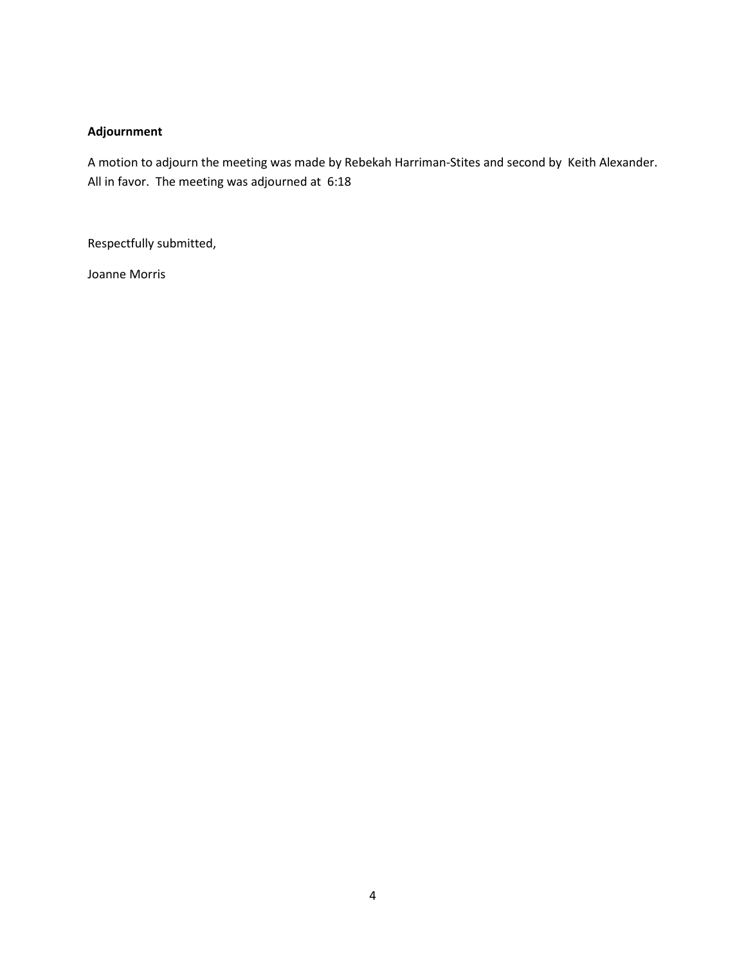# **Adjournment**

A motion to adjourn the meeting was made by Rebekah Harriman-Stites and second by Keith Alexander. All in favor. The meeting was adjourned at 6:18

Respectfully submitted,

Joanne Morris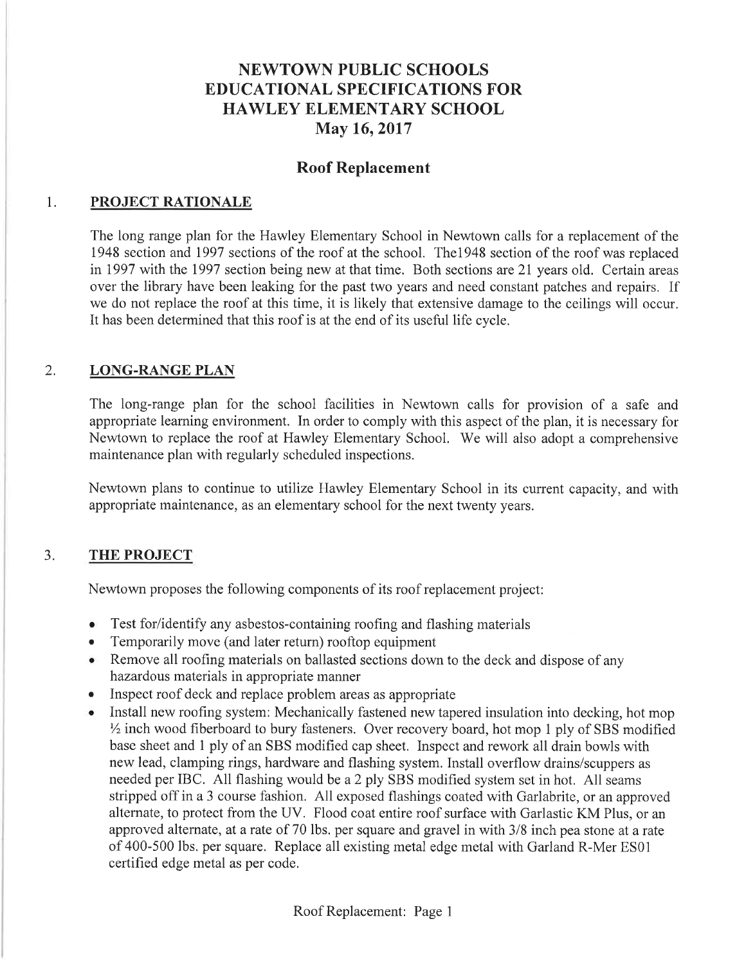# **NEWTOWN PUBLIC SCHOOLS EDUCATIONAL SPECIFICATIONS FOR HAWLEY ELEMENTARY SCHOOL** May 16, 2017

# **Roof Replacement**

#### 1. PROJECT RATIONALE

The long range plan for the Hawley Elementary School in Newtown calls for a replacement of the 1948 section and 1997 sections of the roof at the school. The 1948 section of the roof was replaced in 1997 with the 1997 section being new at that time. Both sections are 21 years old. Certain areas over the library have been leaking for the past two years and need constant patches and repairs. If we do not replace the roof at this time, it is likely that extensive damage to the ceilings will occur. It has been determined that this roof is at the end of its useful life cycle.

#### $2.$ **LONG-RANGE PLAN**

The long-range plan for the school facilities in Newtown calls for provision of a safe and appropriate learning environment. In order to comply with this aspect of the plan, it is necessary for Newtown to replace the roof at Hawley Elementary School. We will also adopt a comprehensive maintenance plan with regularly scheduled inspections.

Newtown plans to continue to utilize Hawley Elementary School in its current capacity, and with appropriate maintenance, as an elementary school for the next twenty years.

#### $3.$ **THE PROJECT**

Newtown proposes the following components of its roof replacement project:

- Test for/identify any asbestos-containing roofing and flashing materials
- Temporarily move (and later return) rooftop equipment  $\bullet$
- Remove all roofing materials on ballasted sections down to the deck and dispose of any hazardous materials in appropriate manner
- Inspect roof deck and replace problem areas as appropriate
- Install new roofing system: Mechanically fastened new tapered insulation into decking, hot mop 1/2 inch wood fiberboard to bury fasteners. Over recovery board, hot mop 1 ply of SBS modified base sheet and 1 ply of an SBS modified cap sheet. Inspect and rework all drain bowls with new lead, clamping rings, hardware and flashing system. Install overflow drains/scuppers as needed per IBC. All flashing would be a 2 ply SBS modified system set in hot. All seams stripped off in a 3 course fashion. All exposed flashings coated with Garlabrite, or an approved alternate, to protect from the UV. Flood coat entire roof surface with Garlastic KM Plus, or an approved alternate, at a rate of 70 lbs. per square and gravel in with 3/8 inch pea stone at a rate of 400-500 lbs. per square. Replace all existing metal edge metal with Garland R-Mer ES01 certified edge metal as per code.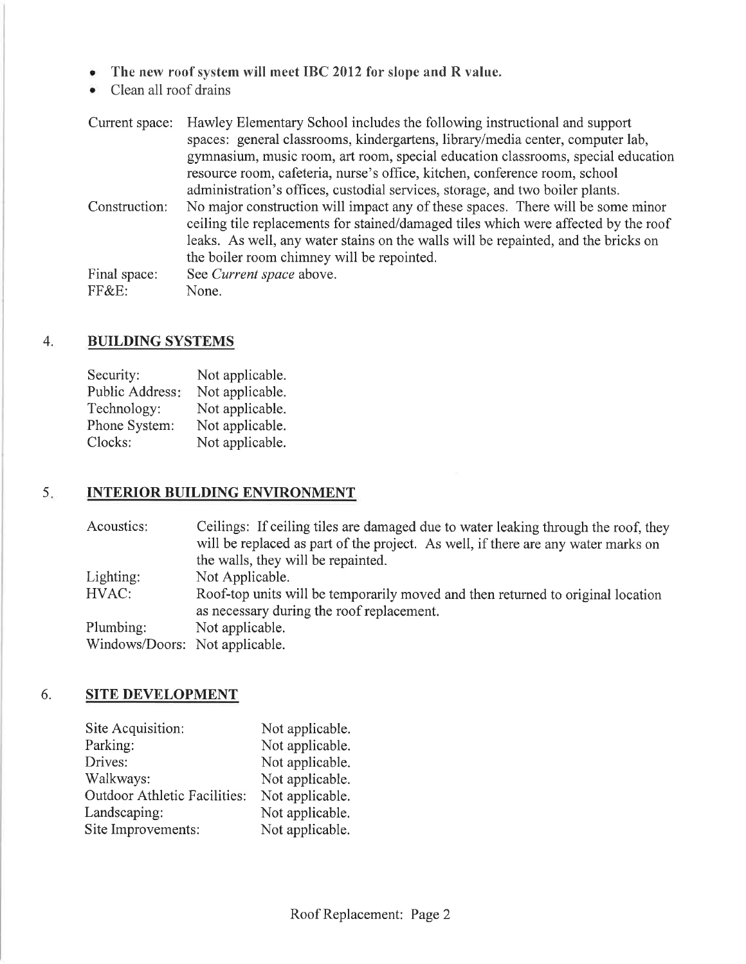- The new roof system will meet IBC 2012 for slope and R value.  $\bullet$
- Clean all roof drains  $\bullet$

| Current space: | Hawley Elementary School includes the following instructional and support           |
|----------------|-------------------------------------------------------------------------------------|
|                | spaces: general classrooms, kindergartens, library/media center, computer lab,      |
|                | gymnasium, music room, art room, special education classrooms, special education    |
|                | resource room, cafeteria, nurse's office, kitchen, conference room, school          |
|                | administration's offices, custodial services, storage, and two boiler plants.       |
| Construction:  | No major construction will impact any of these spaces. There will be some minor     |
|                | ceiling tile replacements for stained/damaged tiles which were affected by the roof |
|                | leaks. As well, any water stains on the walls will be repainted, and the bricks on  |
|                | the boiler room chimney will be repointed.                                          |
| Final space:   | See Current space above.                                                            |
| FF&E:          | None.                                                                               |

#### **BUILDING SYSTEMS** 4.

| Security:       | Not applicable. |
|-----------------|-----------------|
| Public Address: | Not applicable. |
| Technology:     | Not applicable. |
| Phone System:   | Not applicable. |
| Clocks:         | Not applicable. |

#### $5.$ **INTERIOR BUILDING ENVIRONMENT**

| Acoustics:                     | Ceilings: If ceiling tiles are damaged due to water leaking through the roof, they<br>will be replaced as part of the project. As well, if there are any water marks on<br>the walls, they will be repainted. |
|--------------------------------|---------------------------------------------------------------------------------------------------------------------------------------------------------------------------------------------------------------|
| Lighting:                      | Not Applicable.                                                                                                                                                                                               |
| HVAC:                          | Roof-top units will be temporarily moved and then returned to original location                                                                                                                               |
|                                | as necessary during the roof replacement.                                                                                                                                                                     |
| Plumbing:                      | Not applicable.                                                                                                                                                                                               |
| Windows/Doors: Not applicable. |                                                                                                                                                                                                               |

#### 6. **SITE DEVELOPMENT**

| Site Acquisition:                   | Not applicable. |
|-------------------------------------|-----------------|
| Parking:                            | Not applicable. |
| Drives:                             | Not applicable. |
| Walkways:                           | Not applicable. |
| <b>Outdoor Athletic Facilities:</b> | Not applicable. |
| Landscaping:                        | Not applicable. |
| Site Improvements:                  | Not applicable. |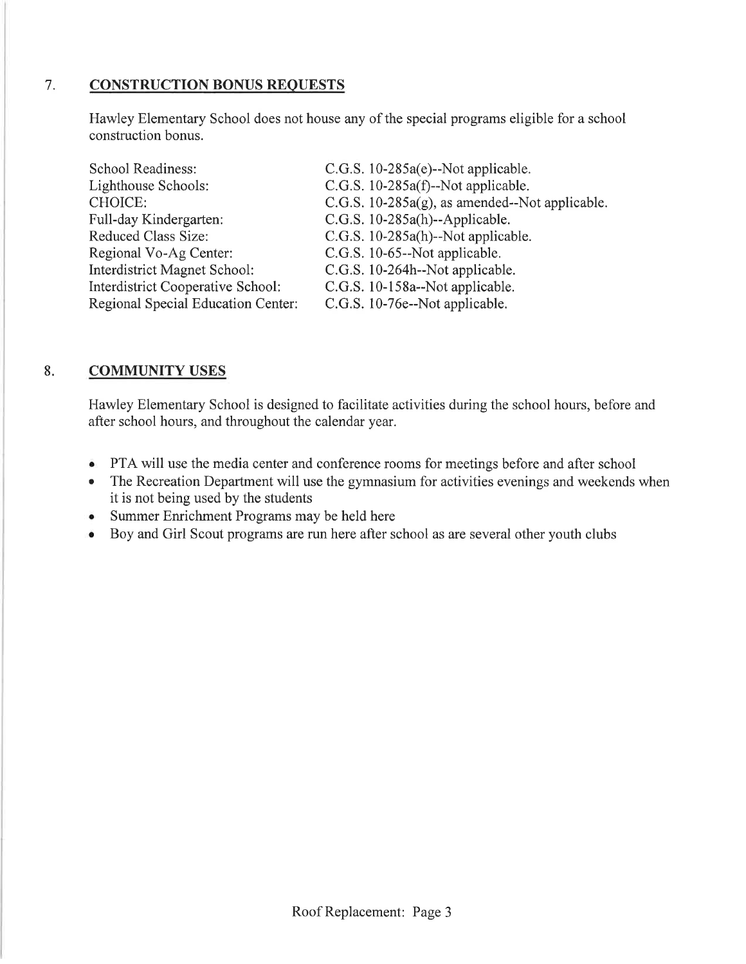#### 7. **CONSTRUCTION BONUS REQUESTS**

Hawley Elementary School does not house any of the special programs eligible for a school construction bonus.

| C.G.S. $10-285a(e)$ --Not applicable.             |
|---------------------------------------------------|
| C.G.S. $10-285a(f)$ --Not applicable.             |
| C.G.S. $10-285a(g)$ , as amended--Not applicable. |
| $C.G.S. 10-285a(h)$ --Applicable.                 |
| C.G.S. 10-285a(h)--Not applicable.                |
| C.G.S. 10-65--Not applicable.                     |
| C.G.S. 10-264h--Not applicable.                   |
| C.G.S. 10-158a--Not applicable.                   |
| C.G.S. 10-76e--Not applicable.                    |
|                                                   |

#### 8. **COMMUNITY USES**

Hawley Elementary School is designed to facilitate activities during the school hours, before and after school hours, and throughout the calendar year.

- PTA will use the media center and conference rooms for meetings before and after school
- The Recreation Department will use the gymnasium for activities evenings and weekends when  $\bullet$ it is not being used by the students
- Summer Enrichment Programs may be held here
- Boy and Girl Scout programs are run here after school as are several other youth clubs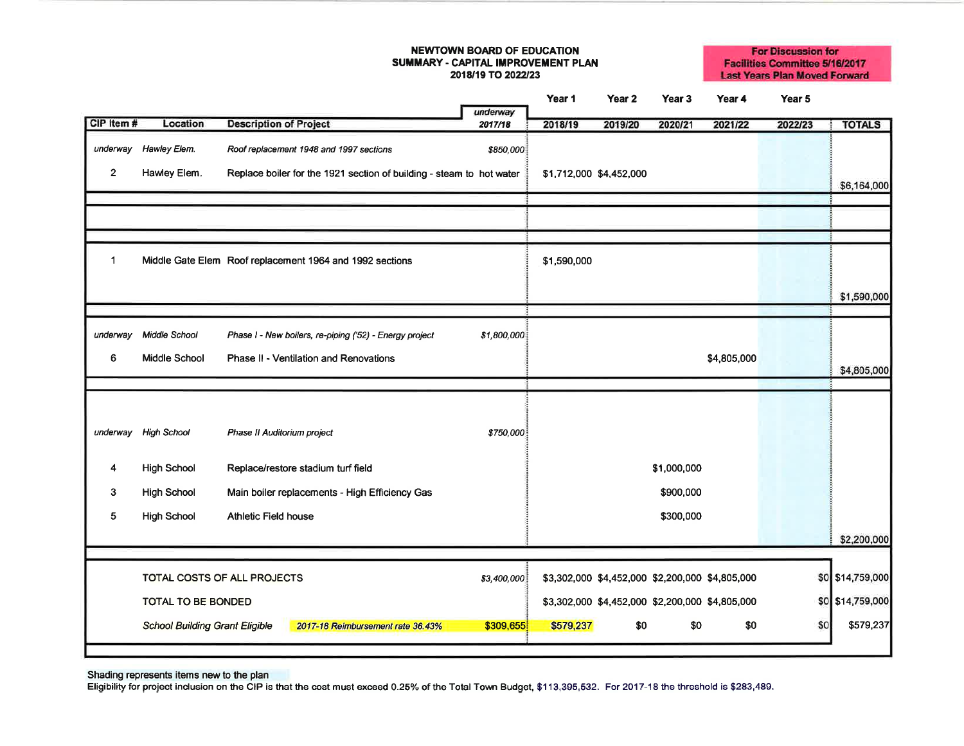### **NEWTOWN BOARD OF EDUCATION** SUMMARY - CAPITAL IMPROVEMENT PLAN 2018/19 TO 2022/23

**For Discussion for Facilities Committee 5/16/2017 Last Years Plan Moved Forward** 

|              |                                       |                                                                      | underway    | Year 1                  | Year 2  | Year 3      | Year 4                                          | Year 5  |                  |
|--------------|---------------------------------------|----------------------------------------------------------------------|-------------|-------------------------|---------|-------------|-------------------------------------------------|---------|------------------|
| CIP Item #   | Location                              | <b>Description of Project</b>                                        | 2017/18     | 2018/19                 | 2019/20 | 2020/21     | 2021/22                                         | 2022/23 | <b>TOTALS</b>    |
| underway     | Hawley Elem.                          | Roof replacement 1948 and 1997 sections                              | \$850,000   |                         |         |             |                                                 |         |                  |
| $\mathbf{2}$ | Hawley Elem.                          | Replace boiler for the 1921 section of building - steam to hot water |             | \$1,712,000 \$4,452,000 |         |             |                                                 |         | \$6,164,000      |
|              |                                       |                                                                      |             |                         |         |             |                                                 |         |                  |
|              |                                       |                                                                      |             |                         |         |             |                                                 |         |                  |
|              |                                       |                                                                      |             |                         |         |             |                                                 |         |                  |
| 1            |                                       | Middle Gate Elem Roof replacement 1964 and 1992 sections             |             | \$1,590,000             |         |             |                                                 |         |                  |
|              |                                       |                                                                      |             |                         |         |             |                                                 |         | \$1,590,000      |
|              |                                       |                                                                      |             |                         |         |             |                                                 |         |                  |
| underway     | Middle School                         | Phase I - New boilers, re-piping ('52) - Energy project              | \$1,800,000 |                         |         |             |                                                 |         |                  |
| 6            | Middle School                         | Phase II - Ventilation and Renovations                               |             |                         |         |             | \$4,805,000                                     |         |                  |
|              |                                       |                                                                      |             |                         |         |             |                                                 |         | \$4,805,000      |
|              |                                       |                                                                      |             |                         |         |             |                                                 |         |                  |
|              |                                       |                                                                      |             |                         |         |             |                                                 |         |                  |
| underway     | <b>High School</b>                    | Phase II Auditorium project                                          | \$750,000   |                         |         |             |                                                 |         |                  |
| 4            | <b>High School</b>                    | Replace/restore stadium turf field                                   |             |                         |         | \$1,000,000 |                                                 |         |                  |
| 3            | <b>High School</b>                    | Main boiler replacements - High Efficiency Gas                       |             |                         |         | \$900,000   |                                                 |         |                  |
| 5            | <b>High School</b>                    | Athletic Field house                                                 |             |                         |         | \$300,000   |                                                 |         |                  |
|              |                                       |                                                                      |             |                         |         |             |                                                 |         | \$2,200,000      |
|              |                                       |                                                                      |             |                         |         |             |                                                 |         |                  |
|              |                                       | TOTAL COSTS OF ALL PROJECTS                                          | \$3,400,000 |                         |         |             | \$3,302,000 \$4,452,000 \$2,200,000 \$4,805,000 |         | \$0 \$14,759,000 |
|              | <b>TOTAL TO BE BONDED</b>             |                                                                      |             |                         |         |             | \$3,302,000 \$4,452,000 \$2,200,000 \$4,805,000 |         | \$0 \$14,759,000 |
|              | <b>School Building Grant Eligible</b> | 2017-18 Reimbursement rate 36.43%                                    | \$309,655   | \$579,237               | \$0     | \$0         | \$0                                             | \$0     | \$579,237        |
|              |                                       |                                                                      |             |                         |         |             |                                                 |         |                  |

Shading represents items new to the plan<br>Eligibility for project inclusion on the CIP is that the cost must exceed 0.25% of the Total Town Budget, \$113,395,532. For 2017-18 the threshold is \$283,489.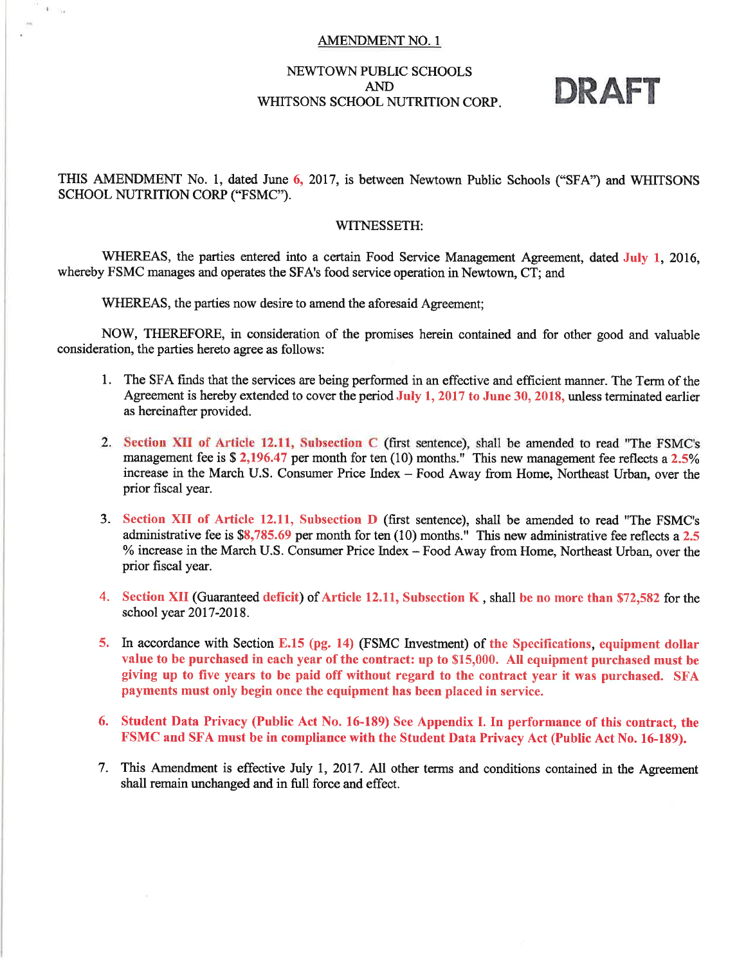## **AMENDMENT NO. 1**

# **NEWTOWN PUBLIC SCHOOLS AND** WHITSONS SCHOOL NUTRITION CORP.

# DRAFT

THIS AMENDMENT No. 1, dated June 6, 2017, is between Newtown Public Schools ("SFA") and WHITSONS SCHOOL NUTRITION CORP ("FSMC").

## WITNESSETH:

WHEREAS, the parties entered into a certain Food Service Management Agreement, dated July 1, 2016, whereby FSMC manages and operates the SFA's food service operation in Newtown, CT; and

WHEREAS, the parties now desire to amend the aforesaid Agreement;

**Tue** 

NOW, THEREFORE, in consideration of the promises herein contained and for other good and valuable consideration, the parties hereto agree as follows:

- 1. The SFA finds that the services are being performed in an effective and efficient manner. The Term of the Agreement is hereby extended to cover the period July 1, 2017 to June 30, 2018, unless terminated earlier as hereinafter provided.
- 2. Section XII of Article 12.11, Subsection C (first sentence), shall be amended to read "The FSMC's management fee is  $$2,196.47$  per month for ten (10) months." This new management fee reflects a 2.5% increase in the March U.S. Consumer Price Index - Food Away from Home, Northeast Urban, over the prior fiscal year.
- 3. Section XII of Article 12.11, Subsection D (first sentence), shall be amended to read "The FSMC's administrative fee is \$8,785.69 per month for ten (10) months." This new administrative fee reflects a 2.5 % increase in the March U.S. Consumer Price Index - Food Away from Home, Northeast Urban, over the prior fiscal year.
- 4. Section XII (Guaranteed deficit) of Article 12.11, Subsection K, shall be no more than \$72,582 for the school year 2017-2018.
- 5. In accordance with Section E.15 (pg. 14) (FSMC Investment) of the Specifications, equipment dollar value to be purchased in each year of the contract: up to \$15,000. All equipment purchased must be giving up to five years to be paid off without regard to the contract year it was purchased. SFA payments must only begin once the equipment has been placed in service.
- 6. Student Data Privacy (Public Act No. 16-189) See Appendix I. In performance of this contract, the FSMC and SFA must be in compliance with the Student Data Privacy Act (Public Act No. 16-189).
- 7. This Amendment is effective July 1, 2017. All other terms and conditions contained in the Agreement shall remain unchanged and in full force and effect.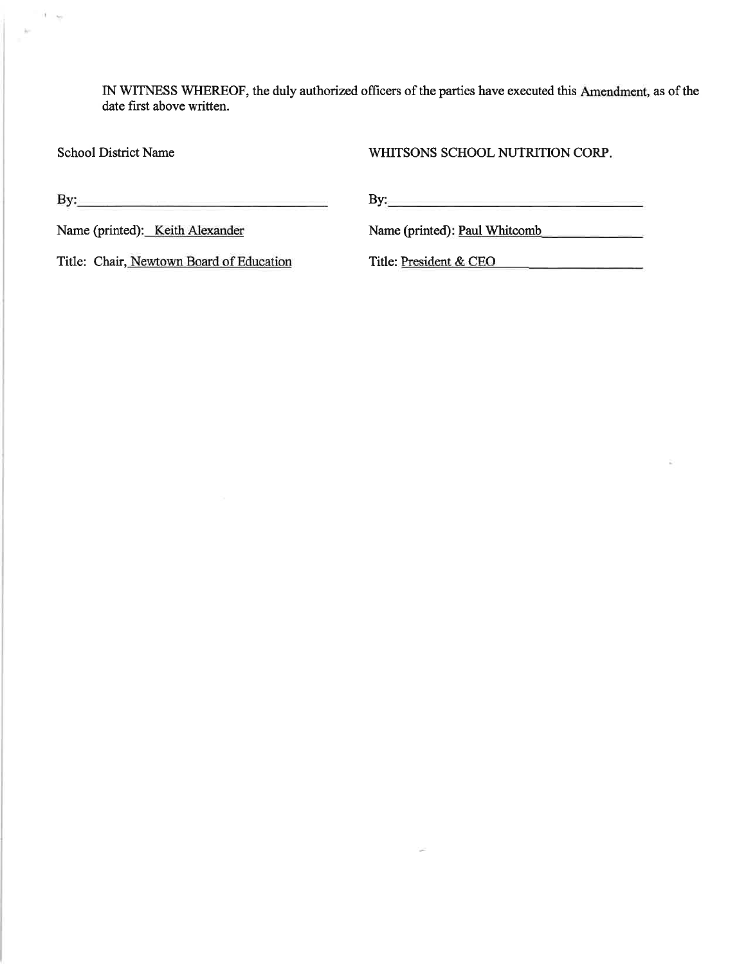IN WITNESS WHEREOF, the duly authorized officers of the parties have executed this Amendment, as of the date first above written.

**School District Name** 

 $i - \omega$ 

WHITSONS SCHOOL NUTRITION CORP.

 $\mathbf{B}$ y:

By:  $\qquad \qquad$ 

Name (printed): Paul Whitcomb

Name (printed): Keith Alexander

Title: Chair, Newtown Board of Education

Title: President & CEO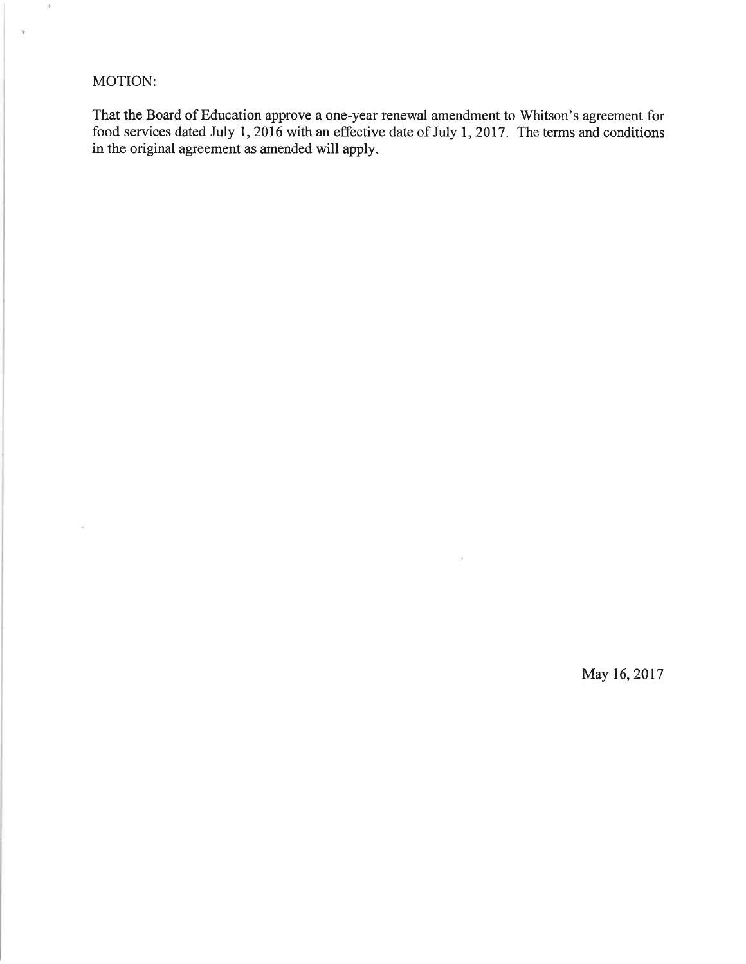# MOTION:

 $\widetilde{\mathcal{A}}$ 

 $\dot{\boldsymbol{\eta}}$ 

 $\overline{\phantom{a}}$ 

That the Board of Education approve a one-year renewal amendment to Whitson's agreement for food services dated July 1, 2016 with an effective date of July 1, 2017. The terms and conditions in the original agreement as ame

 $\alpha$ 

May 16, 2017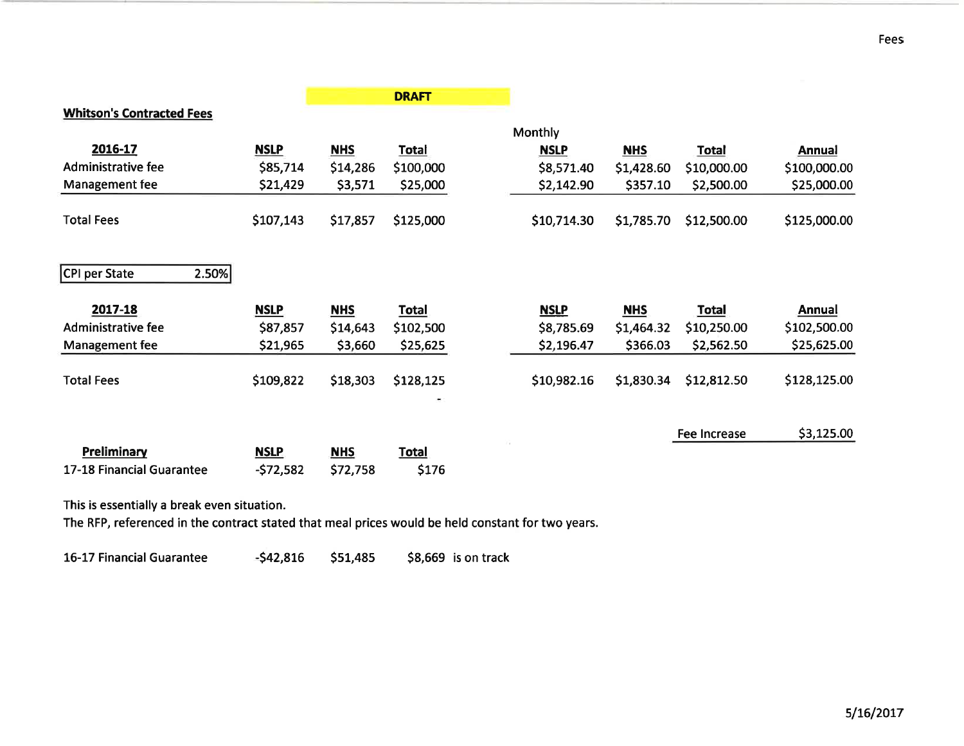|                                  |             |            | <b>DRAFT</b> |             |            |              |               |
|----------------------------------|-------------|------------|--------------|-------------|------------|--------------|---------------|
| <b>Whitson's Contracted Fees</b> |             |            |              | Monthly     |            |              |               |
| 2016-17                          | <b>NSLP</b> | <b>NHS</b> | <b>Total</b> | <b>NSLP</b> | <b>NHS</b> | <b>Total</b> | <b>Annual</b> |
| Administrative fee               | \$85,714    | \$14,286   | \$100,000    | \$8,571.40  | \$1,428.60 | \$10,000.00  | \$100,000.00  |
| Management fee                   | \$21,429    | \$3,571    | \$25,000     | \$2,142.90  | \$357.10   | \$2,500.00   | \$25,000.00   |
| <b>Total Fees</b>                | \$107,143   | \$17,857   | \$125,000    | \$10,714.30 | \$1,785.70 | \$12,500.00  | \$125,000.00  |
| 2.50%<br>CPI per State           |             |            |              |             |            |              |               |
| 2017-18                          | <b>NSLP</b> | <b>NHS</b> | <b>Total</b> | <b>NSLP</b> | <b>NHS</b> | <b>Total</b> | <b>Annual</b> |
| <b>Administrative fee</b>        | \$87,857    | \$14,643   | \$102,500    | \$8,785.69  | \$1,464.32 | \$10,250.00  | \$102,500.00  |
| Management fee                   | \$21,965    | \$3,660    | \$25,625     | \$2,196.47  | \$366.03   | \$2,562.50   | \$25,625.00   |
| <b>Total Fees</b>                | \$109,822   | \$18,303   | \$128,125    | \$10,982.16 | \$1,830.34 | \$12,812.50  | \$128,125.00  |
|                                  |             |            |              |             |            | Fee Increase | \$3,125.00    |
| Preliminary                      | <b>NSLP</b> | <b>NHS</b> | <b>Total</b> |             |            |              |               |
| 17-18 Financial Guarantee        | $-572,582$  | \$72,758   | \$176        |             |            |              |               |

This is essentially a break even situation.

The RFP, referenced in the contract stated that meal prices would be held constant for two years.

 $-542,816$ 16-17 Financial Guarantee \$51,485 \$8,669 is on track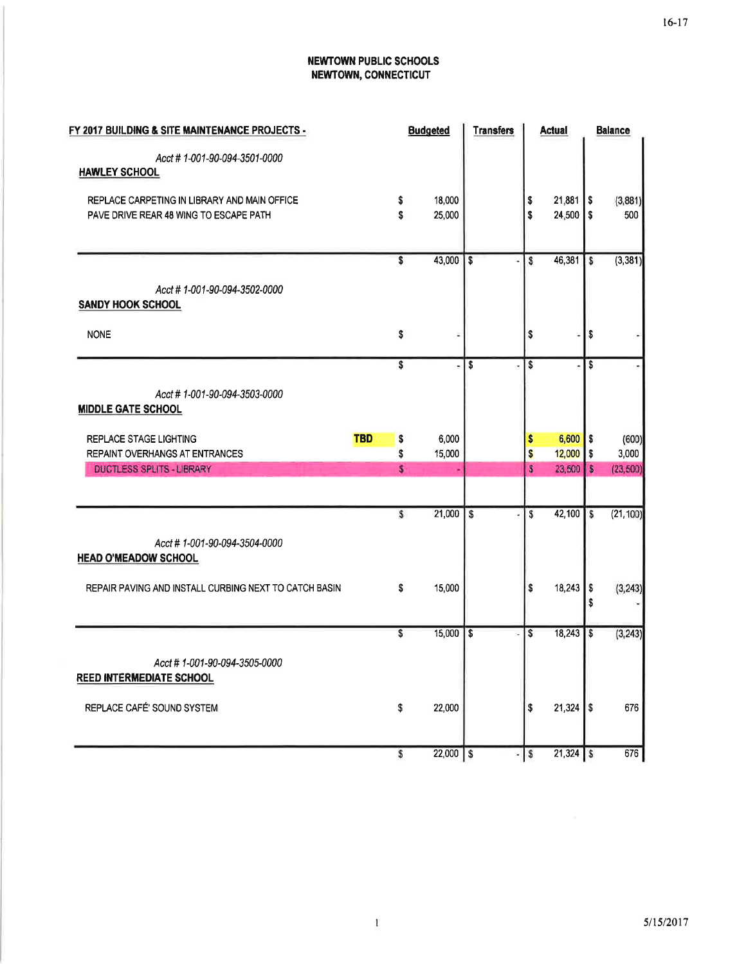# **NEWTOWN PUBLIC SCHOOLS** NEWTOWN, CONNECTICUT

| FY 2017 BUILDING & SITE MAINTENANCE PROJECTS -                                         |                  | <b>Budgeted</b>  | <b>Transfers</b>             | <b>Actual</b>                | <b>Balance</b>                |
|----------------------------------------------------------------------------------------|------------------|------------------|------------------------------|------------------------------|-------------------------------|
| Acct # 1-001-90-094-3501-0000<br><b>HAWLEY SCHOOL</b>                                  |                  |                  |                              |                              |                               |
| REPLACE CARPETING IN LIBRARY AND MAIN OFFICE<br>PAVE DRIVE REAR 48 WING TO ESCAPE PATH | \$<br>Ŝ.         | 18,000<br>25,000 |                              | 21,881<br>\$<br>\$<br>24,500 | \$<br>(3,881)<br>\$<br>500    |
|                                                                                        | S                | 43,000           | \$                           | 46,381<br>S                  | (3, 381)<br>s                 |
| Acct #1-001-90-094-3502-0000<br><b>SANDY HOOK SCHOOL</b>                               |                  |                  |                              |                              |                               |
| <b>NONE</b>                                                                            | \$               |                  |                              | \$                           | \$                            |
|                                                                                        | \$               |                  | \$<br>×                      | \$                           | \$                            |
| Acct # 1-001-90-094-3503-0000<br><b>MIDDLE GATE SCHOOL</b>                             |                  |                  |                              |                              |                               |
| <b>REPLACE STAGE LIGHTING</b>                                                          | <b>TBD</b><br>\$ | 6,000            |                              | 6,600<br>\$                  | (600)<br>\$                   |
| REPAINT OVERHANGS AT ENTRANCES<br><b>DUCTLESS SPLITS - LIBRARY</b>                     | \$<br>\$         | 15,000           |                              | \$<br>12,000<br>23,500<br>S  | \$<br>3,000<br>S<br>(23, 500) |
|                                                                                        |                  |                  |                              |                              |                               |
|                                                                                        | \$               | 21,000           | $\overline{\mathbf{s}}$<br>٠ | S<br>42,100                  | S<br>(21, 100)                |
| Acct # 1-001-90-094-3504-0000<br><b>HEAD O'MEADOW SCHOOL</b>                           |                  |                  |                              |                              |                               |
| REPAIR PAVING AND INSTALL CURBING NEXT TO CATCH BASIN                                  | \$               | 15,000           |                              | 18,243<br>\$                 | \$<br>(3, 243)<br>\$          |
|                                                                                        | \$               | 15,000           | $\mathbf{s}$<br>÷.           | S<br>18,243                  | \$<br>(3, 243)                |
| Acct # 1-001-90-094-3505-0000<br><b>REED INTERMEDIATE SCHOOL</b>                       |                  |                  |                              |                              |                               |
| REPLACE CAFÉ' SOUND SYSTEM                                                             | \$               | 22,000           |                              | $21,324$ \$<br>\$            | 676                           |
|                                                                                        | \$               | $22,000$ \$      | ٠                            | $\sqrt{s}$<br>$21,324$ \$    | 676                           |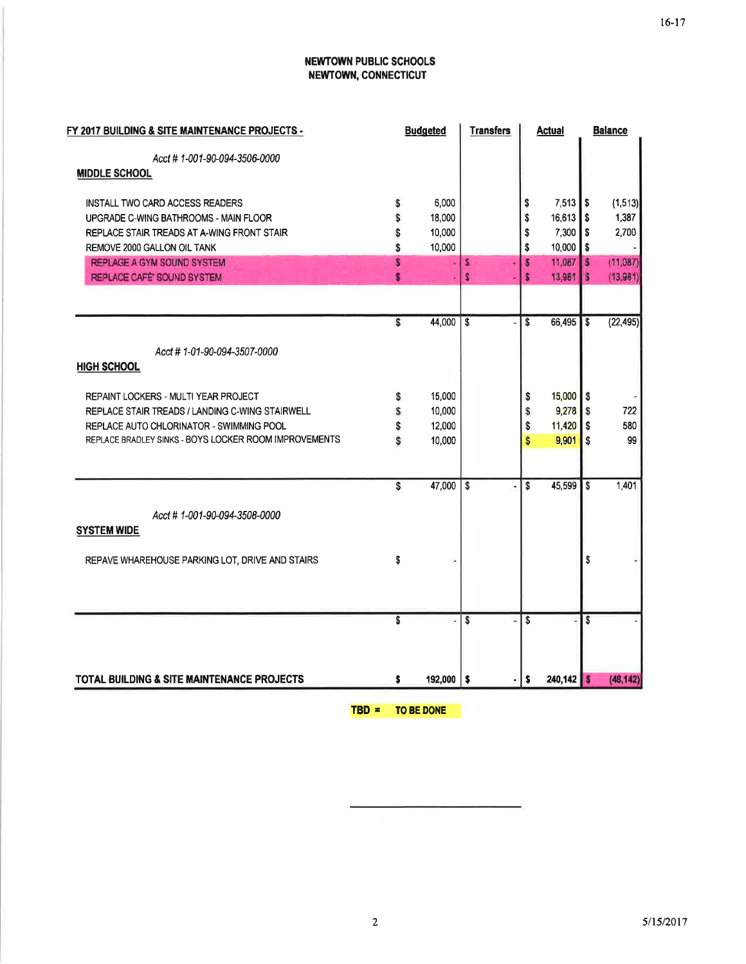# **NEWTOWN PUBLIC SCHOOLS** NEWTOWN, CONNECTICUT

|    |         | <b>Transfers</b> |    |        |                                   | <b>Balance</b>                                                         |
|----|---------|------------------|----|--------|-----------------------------------|------------------------------------------------------------------------|
|    |         |                  |    |        |                                   |                                                                        |
|    |         |                  |    |        |                                   |                                                                        |
| \$ | 6,000   |                  | \$ |        | S                                 | (1, 513)                                                               |
| \$ | 18,000  |                  | \$ |        | \$                                | 1,387                                                                  |
| S  | 10,000  |                  | \$ | 7,300  | S                                 | 2,700                                                                  |
| S  | 10,000  |                  | \$ | 10,000 | \$                                |                                                                        |
| S  |         | s                | s  |        | $\sim$                            | (11,087)                                                               |
| s  |         | s                | s  |        | s                                 | (13, 981)                                                              |
|    |         |                  |    |        |                                   |                                                                        |
| S  | 44,000  | \$               | S  | 66,495 | l \$                              | (22, 495)                                                              |
|    |         |                  |    |        |                                   |                                                                        |
|    |         |                  |    |        |                                   |                                                                        |
| \$ | 15,000  |                  | s  |        |                                   |                                                                        |
| \$ | 10,000  |                  | \$ |        |                                   | 722                                                                    |
| Ŝ  | 12,000  |                  | \$ | 11,420 | l \$                              | 580                                                                    |
| S  | 10,000  |                  | \$ | 9,901  | S                                 | 99                                                                     |
|    |         |                  |    |        |                                   |                                                                        |
| s  | 47,000  | \$               | \$ | 45,599 | $\overline{\mathbf{s}}$           | 1,401                                                                  |
|    |         |                  |    |        |                                   |                                                                        |
|    |         |                  |    |        |                                   |                                                                        |
| \$ |         |                  |    |        | \$                                |                                                                        |
|    |         |                  |    |        |                                   |                                                                        |
|    |         |                  |    |        |                                   |                                                                        |
| \$ |         | S                | \$ |        | Ŝ                                 |                                                                        |
|    |         |                  |    |        |                                   |                                                                        |
| \$ | 192,000 | $\sqrt{2}$       | s  |        |                                   | (48, 142)                                                              |
|    |         | <b>Budgeted</b>  |    |        | <b>Actual</b><br>11,087<br>13,981 | 7,513<br>16,613<br>$15,000$ $\frac{1}{5}$<br>$9,278$ \$<br>$240,142$ S |

TBD = TO BE DONE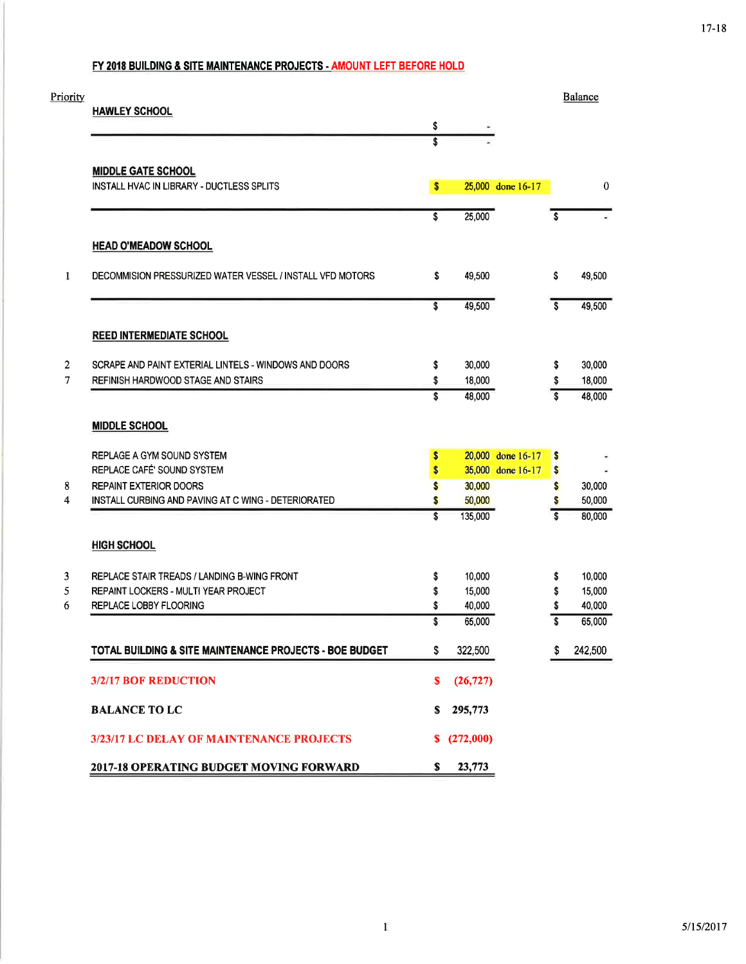# FY 2018 BUILDING & SITE MAINTENANCE PROJECTS - AMOUNT LEFT BEFORE HOLD

| Priority       |                                                           |          |                   |                   |         | Balance          |
|----------------|-----------------------------------------------------------|----------|-------------------|-------------------|---------|------------------|
|                | <b>HAWLEY SCHOOL</b>                                      | \$       |                   |                   |         |                  |
|                |                                                           | Ŝ        |                   |                   |         |                  |
|                | <b>MIDDLE GATE SCHOOL</b>                                 |          |                   |                   |         |                  |
|                | INSTALL HVAC IN LIBRARY - DUCTLESS SPLITS                 | \$       |                   | 25,000 done 16-17 |         | $\bf{0}$         |
|                |                                                           | \$       | 25,000            |                   | S       |                  |
|                | <b>HEAD O'MEADOW SCHOOL</b>                               |          |                   |                   |         |                  |
| I              | DECOMMISION PRESSURIZED WATER VESSEL / INSTALL VFD MOTORS | \$       | 49,500            |                   | \$      | 49,500           |
|                |                                                           | \$       | 49,500            |                   | S       | 49,500           |
|                | <b>REED INTERMEDIATE SCHOOL</b>                           |          |                   |                   |         |                  |
| $\mathbf{2}$   | SCRAPE AND PAINT EXTERIAL LINTELS - WINDOWS AND DOORS     | \$       | 30,000            |                   | \$      | 30,000           |
| $\overline{7}$ | REFINISH HARDWOOD STAGE AND STAIRS                        | \$       | 18,000            |                   | \$      | 18,000           |
|                |                                                           | \$       | 48,000            |                   | Ŝ       | 48,000           |
|                | <b>MIDDLE SCHOOL</b>                                      |          |                   |                   |         |                  |
|                | REPLAGE A GYM SOUND SYSTEM                                | \$       |                   | 20,000 done 16-17 | \$      |                  |
|                | REPLACE CAFÉ' SOUND SYSTEM                                | \$       |                   | 35,000 done 16-17 | \$      |                  |
| 8              | <b>REPAINT EXTERIOR DOORS</b>                             | \$       | 30,000            |                   | \$      | 30,000           |
| 4              | INSTALL CURBING AND PAVING AT C WING - DETERIORATED       | \$<br>\$ | 50,000<br>135,000 |                   | \$<br>Ŝ | 50,000<br>80,000 |
|                |                                                           |          |                   |                   |         |                  |
|                | <b>HIGH SCHOOL</b>                                        |          |                   |                   |         |                  |
| 3              | REPLACE STAIR TREADS / LANDING B-WING FRONT               | \$       | 10,000            |                   | \$      | 10,000           |
| 5              | REPAINT LOCKERS - MULTI YEAR PROJECT                      | \$       | 15,000            |                   | \$      | 15,000           |
| 6              | REPLACE LOBBY FLOORING                                    | \$       | 40,000            |                   | \$      | 40,000           |
|                |                                                           | \$       | 65,000            |                   | S       | 65,000           |
|                | TOTAL BUILDING & SITE MAINTENANCE PROJECTS - BOE BUDGET   | \$       | 322,500           |                   | S       | 242,500          |
|                | 3/2/17 BOF REDUCTION                                      | s        | (26, 727)         |                   |         |                  |
|                | <b>BALANCE TO LC</b>                                      | S.       | 295,773           |                   |         |                  |
|                | 3/23/17 LC DELAY OF MAINTENANCE PROJECTS                  |          | \$ (272,000)      |                   |         |                  |
|                | 2017-18 OPERATING BUDGET MOVING FORWARD                   | S.       | 23,773            |                   |         |                  |